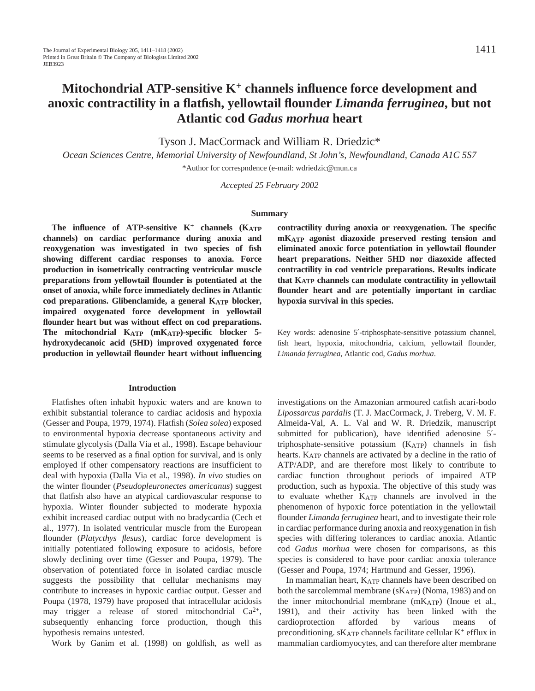# **Mitochondrial ATP-sensitive K<sup>+</sup> channels influence force development and anoxic contractility in a flatfish, yellowtail flounder** *Limanda ferruginea***, but not Atlantic cod** *Gadus morhua* **heart**

Tyson J. MacCormack and William R. Driedzic\*

*Ocean Sciences Centre, Memorial University of Newfoundland, St John's, Newfoundland, Canada A1C 5S7* \*Author for correspndence (e-mail: wdriedzic@mun.ca

*Accepted 25 February 2002* 

#### **Summary**

**The influence of ATP-sensitive K+ channels (KATP channels) on cardiac performance during anoxia and reoxygenation was investigated in two species of fish showing different cardiac responses to anoxia. Force production in isometrically contracting ventricular muscle preparations from yellowtail flounder is potentiated at the onset of anoxia, while force immediately declines in Atlantic cod preparations. Glibenclamide, a general KATP blocker, impaired oxygenated force development in yellowtail flounder heart but was without effect on cod preparations. The mitochondrial KATP (mKATP)-specific blocker 5 hydroxydecanoic acid (5HD) improved oxygenated force production in yellowtail flounder heart without influencing**

# **Introduction**

Flatfishes often inhabit hypoxic waters and are known to exhibit substantial tolerance to cardiac acidosis and hypoxia (Gesser and Poupa, 1979, 1974). Flatfish (*Solea solea*) exposed to environmental hypoxia decrease spontaneous activity and stimulate glycolysis (Dalla Via et al., 1998). Escape behaviour seems to be reserved as a final option for survival, and is only employed if other compensatory reactions are insufficient to deal with hypoxia (Dalla Via et al., 1998). *In vivo* studies on the winter flounder (*Pseudopleuronectes americanus*) suggest that flatfish also have an atypical cardiovascular response to hypoxia. Winter flounder subjected to moderate hypoxia exhibit increased cardiac output with no bradycardia (Cech et al., 1977). In isolated ventricular muscle from the European flounder (*Platycthys flesus*), cardiac force development is initially potentiated following exposure to acidosis, before slowly declining over time (Gesser and Poupa, 1979). The observation of potentiated force in isolated cardiac muscle suggests the possibility that cellular mechanisms may contribute to increases in hypoxic cardiac output. Gesser and Poupa (1978, 1979) have proposed that intracellular acidosis may trigger a release of stored mitochondrial  $Ca^{2+}$ , subsequently enhancing force production, though this hypothesis remains untested.

Work by Ganim et al. (1998) on goldfish, as well as

**contractility during anoxia or reoxygenation. The specific mKATP agonist diazoxide preserved resting tension and eliminated anoxic force potentiation in yellowtail flounder heart preparations. Neither 5HD nor diazoxide affected contractility in cod ventricle preparations. Results indicate that KATP channels can modulate contractility in yellowtail flounder heart and are potentially important in cardiac hypoxia survival in this species.**

Key words: adenosine 5′-triphosphate-sensitive potassium channel, fish heart, hypoxia, mitochondria, calcium, yellowtail flounder, *Limanda ferruginea*, Atlantic cod, *Gadus morhua*.

investigations on the Amazonian armoured catfish acari-bodo *Lipossarcus pardalis* (T. J. MacCormack, J. Treberg, V. M. F. Almeida-Val, A. L. Val and W. R. Driedzik, manuscript submitted for publication), have identified adenosine 5′ triphosphate-sensitive potassium  $(K_{ATP})$  channels in fish hearts. KATP channels are activated by a decline in the ratio of ATP/ADP, and are therefore most likely to contribute to cardiac function throughout periods of impaired ATP production, such as hypoxia. The objective of this study was to evaluate whether KATP channels are involved in the phenomenon of hypoxic force potentiation in the yellowtail flounder *Limanda ferruginea* heart, and to investigate their role in cardiac performance during anoxia and reoxygenation in fish species with differing tolerances to cardiac anoxia. Atlantic cod *Gadus morhua* were chosen for comparisons, as this species is considered to have poor cardiac anoxia tolerance (Gesser and Poupa, 1974; Hartmund and Gesser, 1996).

In mammalian heart, KATP channels have been described on both the sarcolemmal membrane (sKATP) (Noma, 1983) and on the inner mitochondrial membrane  $(mK_{ATP})$  (Inoue et al., 1991), and their activity has been linked with the cardioprotection afforded by various means of preconditioning.  $sK_{ATP}$  channels facilitate cellular  $K^+$  efflux in mammalian cardiomyocytes, and can therefore alter membrane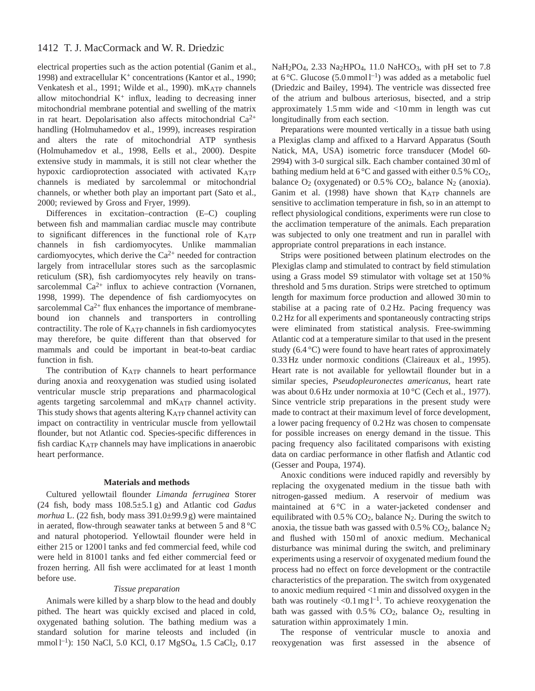# 1412 T. J. MacCormack and W. R. Driedzic

electrical properties such as the action potential (Ganim et al., 1998) and extracellular  $K^+$  concentrations (Kantor et al., 1990; Venkatesh et al., 1991; Wilde et al., 1990). mKATP channels allow mitochondrial  $K^+$  influx, leading to decreasing inner mitochondrial membrane potential and swelling of the matrix in rat heart. Depolarisation also affects mitochondrial  $Ca^{2+}$ handling (Holmuhamedov et al., 1999), increases respiration and alters the rate of mitochondrial ATP synthesis (Holmuhamedov et al., 1998, Eells et al., 2000). Despite extensive study in mammals, it is still not clear whether the hypoxic cardioprotection associated with activated KATP channels is mediated by sarcolemmal or mitochondrial channels, or whether both play an important part (Sato et al., 2000; reviewed by Gross and Fryer, 1999).

Differences in excitation–contraction (E–C) coupling between fish and mammalian cardiac muscle may contribute to significant differences in the functional role of KATP channels in fish cardiomyocytes. Unlike mammalian cardiomyocytes, which derive the  $Ca^{2+}$  needed for contraction largely from intracellular stores such as the sarcoplasmic reticulum (SR), fish cardiomyocytes rely heavily on transsarcolemmal  $Ca^{2+}$  influx to achieve contraction (Vornanen, 1998, 1999). The dependence of fish cardiomyocytes on sarcolemmal  $Ca^{2+}$  flux enhances the importance of membranebound ion channels and transporters in controlling contractility. The role of  $K_{ATP}$  channels in fish cardiomyocytes may therefore, be quite different than that observed for mammals and could be important in beat-to-beat cardiac function in fish.

The contribution of KATP channels to heart performance during anoxia and reoxygenation was studied using isolated ventricular muscle strip preparations and pharmacological agents targeting sarcolemmal and mKATP channel activity. This study shows that agents altering KATP channel activity can impact on contractility in ventricular muscle from yellowtail flounder, but not Atlantic cod. Species-specific differences in fish cardiac KATP channels may have implications in anaerobic heart performance.

## **Materials and methods**

Cultured yellowtail flounder *Limanda ferruginea* Storer (24 fish, body mass 108.5±5.1 g) and Atlantic cod *Gadus morhua* L. (22 fish, body mass 391.0±99.9 g) were maintained in aerated, flow-through seawater tanks at between 5 and 8 °C and natural photoperiod. Yellowtail flounder were held in either 215 or 12001 tanks and fed commercial feed, while cod were held in 81001 tanks and fed either commercial feed or frozen herring. All fish were acclimated for at least 1 month before use.

## *Tissue preparation*

Animals were killed by a sharp blow to the head and doubly pithed. The heart was quickly excised and placed in cold, oxygenated bathing solution. The bathing medium was a standard solution for marine teleosts and included (in mmol l<sup>-1</sup>): 150 NaCl, 5.0 KCl, 0.17 MgSO<sub>4</sub>, 1.5 CaCl<sub>2</sub>, 0.17 NaH<sub>2</sub>PO<sub>4</sub>, 2.33 Na<sub>2</sub>HPO<sub>4</sub>, 11.0 NaHCO<sub>3</sub>, with pH set to 7.8 at 6 °C. Glucose (5.0 mmol  $1^{-1}$ ) was added as a metabolic fuel (Driedzic and Bailey, 1994). The ventricle was dissected free of the atrium and bulbous arteriosus, bisected, and a strip approximately 1.5 mm wide and <10 mm in length was cut longitudinally from each section.

Preparations were mounted vertically in a tissue bath using a Plexiglas clamp and affixed to a Harvard Apparatus (South Natick, MA, USA) isometric force transducer (Model 60- 2994) with 3-0 surgical silk. Each chamber contained 30 ml of bathing medium held at  $6^{\circ}$ C and gassed with either 0.5 % CO<sub>2</sub>, balance  $O_2$  (oxygenated) or 0.5%  $CO_2$ , balance N<sub>2</sub> (anoxia). Ganim et al.  $(1998)$  have shown that  $K_{ATP}$  channels are sensitive to acclimation temperature in fish, so in an attempt to reflect physiological conditions, experiments were run close to the acclimation temperature of the animals. Each preparation was subjected to only one treatment and run in parallel with appropriate control preparations in each instance.

Strips were positioned between platinum electrodes on the Plexiglas clamp and stimulated to contract by field stimulation using a Grass model S9 stimulator with voltage set at 150 % threshold and 5 ms duration. Strips were stretched to optimum length for maximum force production and allowed 30 min to stabilise at a pacing rate of 0.2 Hz. Pacing frequency was 0.2 Hz for all experiments and spontaneously contracting strips were eliminated from statistical analysis. Free-swimming Atlantic cod at a temperature similar to that used in the present study (6.4 °C) were found to have heart rates of approximately 0.33 Hz under normoxic conditions (Claireaux et al., 1995). Heart rate is not available for yellowtail flounder but in a similar species, *Pseudopleuronectes americanus*, heart rate was about 0.6 Hz under normoxia at 10 °C (Cech et al., 1977). Since ventricle strip preparations in the present study were made to contract at their maximum level of force development, a lower pacing frequency of 0.2 Hz was chosen to compensate for possible increases on energy demand in the tissue. This pacing frequency also facilitated comparisons with existing data on cardiac performance in other flatfish and Atlantic cod (Gesser and Poupa, 1974).

Anoxic conditions were induced rapidly and reversibly by replacing the oxygenated medium in the tissue bath with nitrogen-gassed medium. A reservoir of medium was maintained at 6°C in a water-jacketed condenser and equilibrated with  $0.5\%$  CO<sub>2</sub>, balance N<sub>2</sub>. During the switch to anoxia, the tissue bath was gassed with  $0.5\%$  CO<sub>2</sub>, balance N<sub>2</sub> and flushed with 150 ml of anoxic medium. Mechanical disturbance was minimal during the switch, and preliminary experiments using a reservoir of oxygenated medium found the process had no effect on force development or the contractile characteristics of the preparation. The switch from oxygenated to anoxic medium required <1 min and dissolved oxygen in the bath was routinely  $\langle 0.1 \text{ mg} \, \text{L}^{-1}$ . To achieve reoxygenation the bath was gassed with  $0.5\%$  CO<sub>2</sub>, balance O<sub>2</sub>, resulting in saturation within approximately 1 min.

The response of ventricular muscle to anoxia and reoxygenation was first assessed in the absence of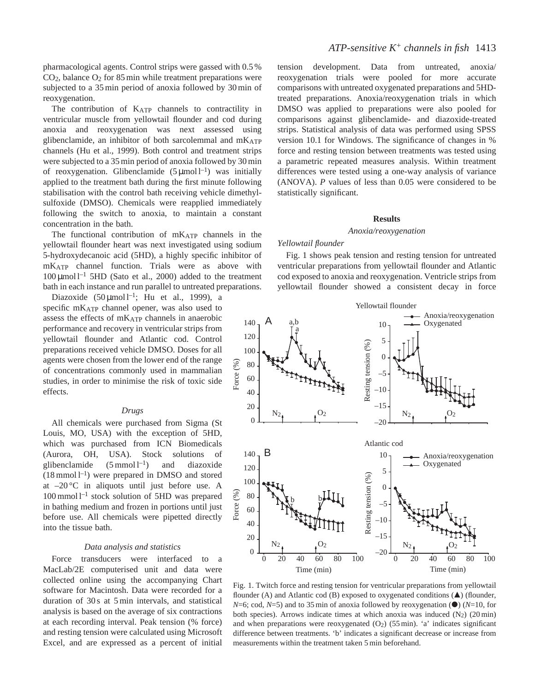pharmacological agents. Control strips were gassed with 0.5 %  $CO<sub>2</sub>$ , balance  $O<sub>2</sub>$  for 85 min while treatment preparations were subjected to a 35 min period of anoxia followed by 30 min of reoxygenation.

The contribution of KATP channels to contractility in ventricular muscle from yellowtail flounder and cod during anoxia and reoxygenation was next assessed using glibenclamide, an inhibitor of both sarcolemmal and  $mK_{ATP}$ channels (Hu et al., 1999). Both control and treatment strips were subjected to a 35 min period of anoxia followed by 30 min of reoxygenation. Glibenclamide  $(5 \mu \text{mol})^{-1}$  was initially applied to the treatment bath during the first minute following stabilisation with the control bath receiving vehicle dimethylsulfoxide (DMSO). Chemicals were reapplied immediately following the switch to anoxia, to maintain a constant concentration in the bath.

The functional contribution of  $mK_{ATP}$  channels in the yellowtail flounder heart was next investigated using sodium 5-hydroxydecanoic acid (5HD), a highly specific inhibitor of mKATP channel function. Trials were as above with  $100 \mu$ mol l<sup>-1</sup> 5HD (Sato et al., 2000) added to the treatment bath in each instance and run parallel to untreated preparations.

Diazoxide  $(50 \mu \text{mol})^{-1}$ ; Hu et al., 1999), a specific mKATP channel opener, was also used to assess the effects of mKATP channels in anaerobic performance and recovery in ventricular strips from yellowtail flounder and Atlantic cod. Control preparations received vehicle DMSO. Doses for all agents were chosen from the lower end of the range of concentrations commonly used in mammalian studies, in order to minimise the risk of toxic side effects.

#### *Drugs*

All chemicals were purchased from Sigma (St Louis, MO, USA) with the exception of 5HD, which was purchased from ICN Biomedicals (Aurora, OH, USA). Stock solutions of glibenclamide  $(5 \text{ mmol } l^{-1})$  and diazoxide  $(18 \text{ mmol }1^{-1})$  were prepared in DMSO and stored at –20 °C in aliquots until just before use. A  $100$  mmol  $l^{-1}$  stock solution of 5HD was prepared in bathing medium and frozen in portions until just before use. All chemicals were pipetted directly into the tissue bath.

# *Data analysis and statistics*

Force transducers were interfaced to a MacLab/2E computerised unit and data were collected online using the accompanying Chart software for Macintosh. Data were recorded for a duration of 30 s at 5 min intervals, and statistical analysis is based on the average of six contractions at each recording interval. Peak tension (% force) and resting tension were calculated using Microsoft Excel, and are expressed as a percent of initial tension development. Data from untreated, anoxia/ reoxygenation trials were pooled for more accurate comparisons with untreated oxygenated preparations and 5HDtreated preparations. Anoxia/reoxygenation trials in which DMSO was applied to preparations were also pooled for comparisons against glibenclamide- and diazoxide-treated strips. Statistical analysis of data was performed using SPSS version 10.1 for Windows. The significance of changes in % force and resting tension between treatments was tested using a parametric repeated measures analysis. Within treatment differences were tested using a one-way analysis of variance (ANOVA). *P* values of less than 0.05 were considered to be statistically significant.

#### **Results**

### *Anoxia/reoxygenation*

## *Yellowtail flounder*

Fig. 1 shows peak tension and resting tension for untreated ventricular preparations from yellowtail flounder and Atlantic cod exposed to anoxia and reoxygenation. Ventricle strips from yellowtail flounder showed a consistent decay in force



Fig. 1. Twitch force and resting tension for ventricular preparations from yellowtail flounder (A) and Atlantic cod (B) exposed to oxygenated conditions  $(\triangle)$  (flounder, *N*=6; cod, *N*=5) and to 35 min of anoxia followed by reoxygenation  $\left( \bullet \right)$  (*N*=10, for both species). Arrows indicate times at which anoxia was induced  $(N_2)$  (20 min) and when preparations were reoxygenated  $(O<sub>2</sub>)$  (55 min). 'a' indicates significant difference between treatments. 'b' indicates a significant decrease or increase from measurements within the treatment taken 5 min beforehand.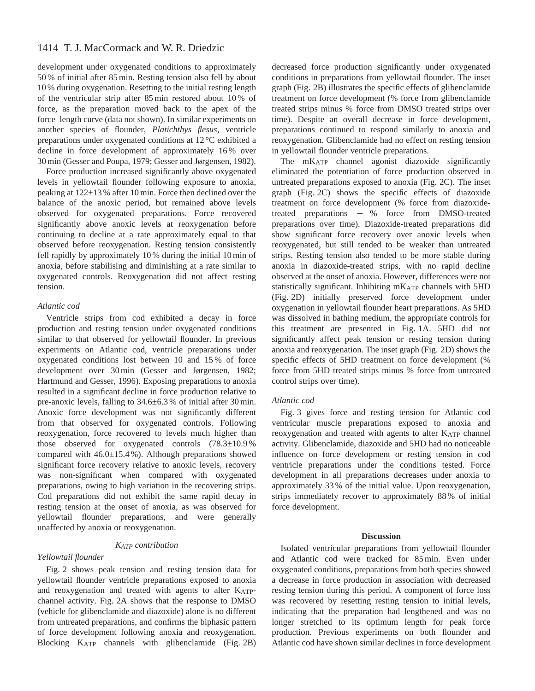# 1414 T. J. MacCormack and W. R. Driedzic

development under oxygenated conditions to approximately 50 % of initial after 85 min. Resting tension also fell by about 10 % during oxygenation. Resetting to the initial resting length of the ventricular strip after 85 min restored about 10 % of force, as the preparation moved back to the apex of the force–length curve (data not shown). In similar experiments on another species of flounder, *Platichthys flesus*, ventricle preparations under oxygenated conditions at 12 °C exhibited a decline in force development of approximately 16 % over 30 min (Gesser and Poupa, 1979; Gesser and Jørgensen, 1982).

Force production increased significantly above oxygenated levels in yellowtail flounder following exposure to anoxia, peaking at 122±13 % after 10 min. Force then declined over the balance of the anoxic period, but remained above levels observed for oxygenated preparations. Force recovered significantly above anoxic levels at reoxygenation before continuing to decline at a rate approximately equal to that observed before reoxygenation. Resting tension consistently fell rapidly by approximately 10 % during the initial 10 min of anoxia, before stabilising and diminishing at a rate similar to oxygenated controls. Reoxygenation did not affect resting tension.

# *Atlantic cod*

Ventricle strips from cod exhibited a decay in force production and resting tension under oxygenated conditions similar to that observed for yellowtail flounder. In previous experiments on Atlantic cod, ventricle preparations under oxygenated conditions lost between 10 and 15 % of force development over 30 min (Gesser and Jørgensen, 1982; Hartmund and Gesser, 1996). Exposing preparations to anoxia resulted in a significant decline in force production relative to pre-anoxic levels, falling to 34.6±6.3 % of initial after 30 min. Anoxic force development was not significantly different from that observed for oxygenated controls. Following reoxygenation, force recovered to levels much higher than those observed for oxygenated controls (78.3±10.9 % compared with 46.0±15.4 %). Although preparations showed significant force recovery relative to anoxic levels, recovery was non-significant when compared with oxygenated preparations, owing to high variation in the recovering strips. Cod preparations did not exhibit the same rapid decay in resting tension at the onset of anoxia, as was observed for yellowtail flounder preparations, and were generally unaffected by anoxia or reoxygenation.

# *KATP contribution*

### *Yellowtail flounder*

Fig. 2 shows peak tension and resting tension data for yellowtail flounder ventricle preparations exposed to anoxia and reoxygenation and treated with agents to alter KATPchannel activity. Fig. 2A shows that the response to DMSO (vehicle for glibenclamide and diazoxide) alone is no different from untreated preparations, and confirms the biphasic pattern of force development following anoxia and reoxygenation. Blocking KATP channels with glibenclamide (Fig. 2B)

decreased force production significantly under oxygenated conditions in preparations from yellowtail flounder. The inset graph (Fig. 2B) illustrates the specific effects of glibenclamide treatment on force development (% force from glibenclamide treated strips minus % force from DMSO treated strips over time). Despite an overall decrease in force development, preparations continued to respond similarly to anoxia and reoxygenation. Glibenclamide had no effect on resting tension in yellowtail flounder ventricle preparations.

The mK<sub>ATP</sub> channel agonist diazoxide significantly eliminated the potentiation of force production observed in untreated preparations exposed to anoxia (Fig. 2C). The inset graph (Fig. 2C) shows the specific effects of diazoxide treatment on force development (% force from diazoxidetreated preparations − % force from DMSO-treated preparations over time). Diazoxide-treated preparations did show significant force recovery over anoxic levels when reoxygenated, but still tended to be weaker than untreated strips. Resting tension also tended to be more stable during anoxia in diazoxide-treated strips, with no rapid decline observed at the onset of anoxia. However, differences were not statistically significant. Inhibiting mKATP channels with 5HD (Fig. 2D) initially preserved force development under oxygenation in yellowtail flounder heart preparations. As 5HD was dissolved in bathing medium, the appropriate controls for this treatment are presented in Fig. 1A. 5HD did not significantly affect peak tension or resting tension during anoxia and reoxygenation. The inset graph (Fig. 2D) shows the specific effects of 5HD treatment on force development (% force from 5HD treated strips minus % force from untreated control strips over time).

#### *Atlantic cod*

Fig. 3 gives force and resting tension for Atlantic cod ventricular muscle preparations exposed to anoxia and reoxygenation and treated with agents to alter KATP channel activity. Glibenclamide, diazoxide and 5HD had no noticeable influence on force development or resting tension in cod ventricle preparations under the conditions tested. Force development in all preparations decreases under anoxia to approximately 33 % of the initial value. Upon reoxygenation, strips immediately recover to approximately 88 % of initial force development.

#### **Discussion**

Isolated ventricular preparations from yellowtail flounder and Atlantic cod were tracked for 85 min. Even under oxygenated conditions, preparations from both species showed a decrease in force production in association with decreased resting tension during this period. A component of force loss was recovered by resetting resting tension to initial levels, indicating that the preparation had lengthened and was no longer stretched to its optimum length for peak force production. Previous experiments on both flounder and Atlantic cod have shown similar declines in force development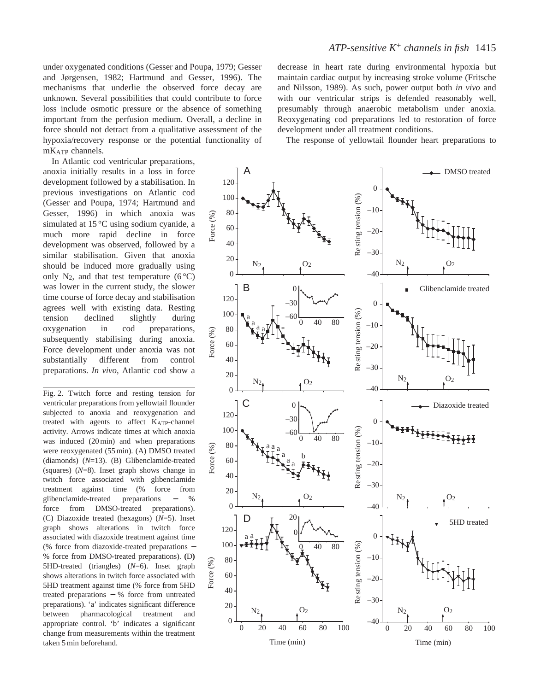under oxygenated conditions (Gesser and Poupa, 1979; Gesser and Jørgensen, 1982; Hartmund and Gesser, 1996). The mechanisms that underlie the observed force decay are unknown. Several possibilities that could contribute to force loss include osmotic pressure or the absence of something important from the perfusion medium. Overall, a decline in force should not detract from a qualitative assessment of the hypoxia/recovery response or the potential functionality of mKATP channels.

In Atlantic cod ventricular preparations, anoxia initially results in a loss in force development followed by a stabilisation. In previous investigations on Atlantic cod (Gesser and Poupa, 1974; Hartmund and Gesser, 1996) in which anoxia was simulated at 15 °C using sodium cyanide, a much more rapid decline in force development was observed, followed by a similar stabilisation. Given that anoxia should be induced more gradually using only  $N_2$ , and that test temperature (6 °C) was lower in the current study, the slower time course of force decay and stabilisation agrees well with existing data. Resting tension declined slightly during oxygenation in cod preparations, subsequently stabilising during anoxia. Force development under anoxia was not substantially different from control preparations. *In vivo*, Atlantic cod show a

Fig. 2. Twitch force and resting tension for ventricular preparations from yellowtail flounder subjected to anoxia and reoxygenation and treated with agents to affect KATP-channel activity. Arrows indicate times at which anoxia was induced (20 min) and when preparations were reoxygenated (55 min). (A) DMSO treated (diamonds) (*N*=13). (B) Glibenclamide-treated (squares) (*N*=8). Inset graph shows change in twitch force associated with glibenclamide treatment against time (% force from glibenclamide-treated preparations − % force from DMSO-treated preparations). (C) Diazoxide treated (hexagons) (*N*=5). Inset graph shows alterations in twitch force associated with diazoxide treatment against time (% force from diazoxide-treated preparations − % force from DMSO-treated preparations). **(**D**)** 5HD-treated (triangles) (*N*=6). Inset graph shows alterations in twitch force associated with 5HD treatment against time (% force from 5HD treated preparations − % force from untreated preparations). 'a' indicates significant difference between pharmacological treatment and appropriate control. 'b' indicates a significant change from measurements within the treatment taken 5 min beforehand.

decrease in heart rate during environmental hypoxia but maintain cardiac output by increasing stroke volume (Fritsche and Nilsson, 1989). As such, power output both *in vivo* and with our ventricular strips is defended reasonably well, presumably through anaerobic metabolism under anoxia. Reoxygenating cod preparations led to restoration of force development under all treatment conditions.

The response of yellowtail flounder heart preparations to

A DMSO treated 120 0 Resting tension (%) Re sting tension (%) 100 –10 80 Force  $(\%$ ) 60 –20 40 –30 20  $N_2$   $O_2$   $N_2$   $O_2$  $\overline{0}$  $-40$ B Glibenclamide treated  $\Omega$ 120 0 –30 Resting tension (%) Re sting tension (%) 100 a –60 a<br>L<sup>a</sup>a 0 40 80 –10 80 Force (%) 60 –20 40 –30 20  $N_2$   $O_2$  $\rm N_2$  $\theta$ –40 C 0 Diazoxide treated 120  $-30$ 0 Resting tension (%) 100 Re sting tension (%) –60 0 40 80 –10 80  $\frac{a}{\pi}$  a Force  $(\%$ ) a b 60 a<br>T<sup>a</sup> –20 40 –30 20  $N_2$   $N_2$   $N_2$   $N_2$  $\theta$ –40  $D \t 1^{20}$ 5HD treated 120 0 0 a a 100 Resting tension (%) Re sting tension (%)  $\overline{80}$ –10 80 Force (%) 60 –20 40 –30 20  $O<sub>2</sub>$  $N_2$   $O_2$  $\Omega$ –40 0 20 40 60 80 100 0 20 40 60 80 100 Time (min) Time (min)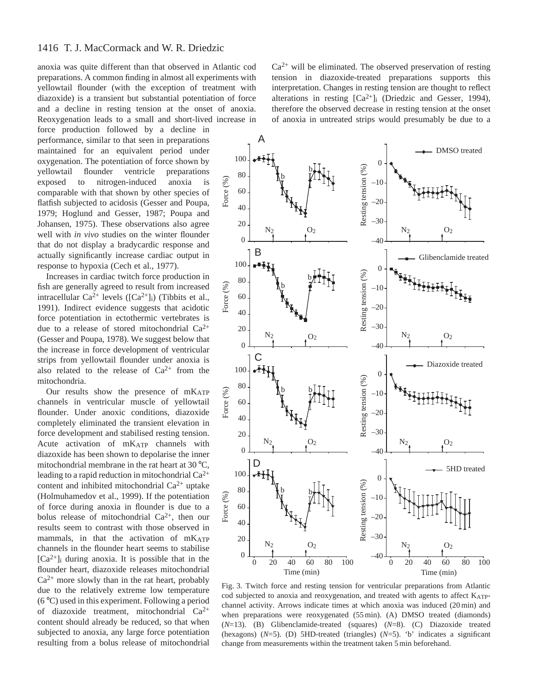anoxia was quite different than that observed in Atlantic cod preparations. A common finding in almost all experiments with yellowtail flounder (with the exception of treatment with diazoxide) is a transient but substantial potentiation of force and a decline in resting tension at the onset of anoxia. Reoxygenation leads to a small and short-lived increase in

force production followed by a decline in performance, similar to that seen in preparations maintained for an equivalent period under oxygenation. The potentiation of force shown by yellowtail flounder ventricle preparations exposed to nitrogen-induced anoxia is comparable with that shown by other species of flatfish subjected to acidosis (Gesser and Poupa, 1979; Hoglund and Gesser, 1987; Poupa and Johansen, 1975). These observations also agree well with *in vivo* studies on the winter flounder that do not display a bradycardic response and actually significantly increase cardiac output in response to hypoxia (Cech et al., 1977).

Increases in cardiac twitch force production in fish are generally agreed to result from increased intracellular  $Ca^{2+}$  levels ( $[Ca^{2+}]_i$ ) (Tibbits et al., 1991). Indirect evidence suggests that acidotic force potentiation in ectothermic vertebrates is due to a release of stored mitochondrial  $Ca^{2+}$ (Gesser and Poupa, 1978). We suggest below that the increase in force development of ventricular strips from yellowtail flounder under anoxia is also related to the release of  $Ca^{2+}$  from the mitochondria.

Our results show the presence of mKATP channels in ventricular muscle of yellowtail flounder. Under anoxic conditions, diazoxide completely eliminated the transient elevation in force development and stabilised resting tension. Acute activation of mKATP channels with diazoxide has been shown to depolarise the inner mitochondrial membrane in the rat heart at 30 °C, leading to a rapid reduction in mitochondrial  $Ca^{2+}$ content and inhibited mitochondrial  $Ca^{2+}$  uptake (Holmuhamedov et al., 1999). If the potentiation of force during anoxia in flounder is due to a bolus release of mitochondrial  $Ca^{2+}$ , then our results seem to contrast with those observed in mammals, in that the activation of mKATP channels in the flounder heart seems to stabilise  $[Ca^{2+}]$ <sub>i</sub> during anoxia. It is possible that in the flounder heart, diazoxide releases mitochondrial  $Ca<sup>2+</sup>$  more slowly than in the rat heart, probably due to the relatively extreme low temperature (6 °C) used in this experiment. Following a period of diazoxide treatment, mitochondrial  $Ca^{2+}$ content should already be reduced, so that when subjected to anoxia, any large force potentiation resulting from a bolus release of mitochondrial

 $Ca<sup>2+</sup>$  will be eliminated. The observed preservation of resting tension in diazoxide-treated preparations supports this interpretation. Changes in resting tension are thought to reflect alterations in resting  $[Ca^{2+}]$ <sub>i</sub> (Driedzic and Gesser, 1994), therefore the observed decrease in resting tension at the onset of anoxia in untreated strips would presumably be due to a



Fig. 3. Twitch force and resting tension for ventricular preparations from Atlantic cod subjected to anoxia and reoxygenation, and treated with agents to affect KATPchannel activity. Arrows indicate times at which anoxia was induced (20 min) and when preparations were reoxygenated (55 min). (A) DMSO treated (diamonds) (*N*=13). (B) Glibenclamide-treated (squares) (*N*=8). (C) Diazoxide treated (hexagons) (*N*=5). (D) 5HD-treated (triangles) (*N*=5). 'b' indicates a significant change from measurements within the treatment taken 5 min beforehand.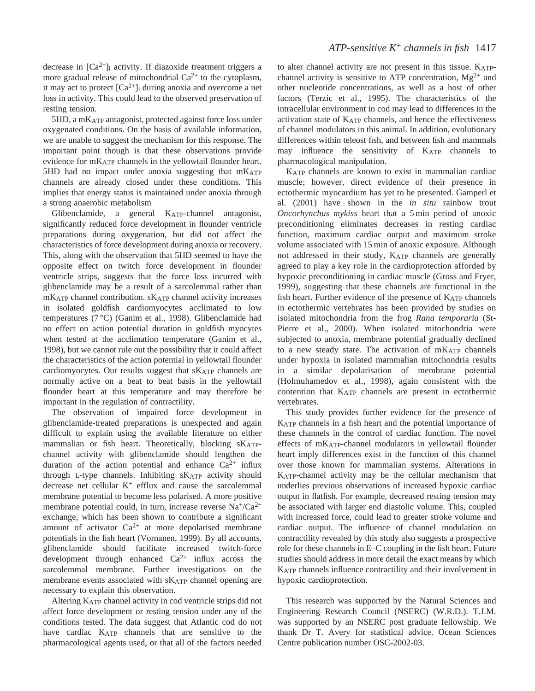decrease in  $[Ca^{2+}]$ <sub>i</sub> activity. If diazoxide treatment triggers a more gradual release of mitochondrial  $Ca^{2+}$  to the cytoplasm, it may act to protect  $[Ca^{2+}]_i$  during anoxia and overcome a net loss in activity. This could lead to the observed preservation of resting tension.

5HD, a mKATP antagonist, protected against force loss under oxygenated conditions. On the basis of available information, we are unable to suggest the mechanism for this response. The important point though is that these observations provide evidence for mKATP channels in the yellowtail flounder heart. 5HD had no impact under anoxia suggesting that  $mK_{ATP}$ channels are already closed under these conditions. This implies that energy status is maintained under anoxia through a strong anaerobic metabolism

Glibenclamide, a general KATP-channel antagonist, significantly reduced force development in flounder ventricle preparations during oxygenation, but did not affect the characteristics of force development during anoxia or recovery. This, along with the observation that 5HD seemed to have the opposite effect on twitch force development in flounder ventricle strips, suggests that the force loss incurred with glibenclamide may be a result of a sarcolemmal rather than mKATP channel contribution. sKATP channel activity increases in isolated goldfish cardiomyocytes acclimated to low temperatures (7 °C) (Ganim et al., 1998). Glibenclamide had no effect on action potential duration in goldfish myocytes when tested at the acclimation temperature (Ganim et al., 1998), but we cannot rule out the possibility that it could affect the characteristics of the action potential in yellowtail flounder cardiomyocytes. Our results suggest that sKATP channels are normally active on a beat to beat basis in the yellowtail flounder heart at this temperature and may therefore be important in the regulation of contractility.

The observation of impaired force development in glibenclamide-treated preparations is unexpected and again difficult to explain using the available literature on either mammalian or fish heart. Theoretically, blocking  $s_{\text{ATP}}$ channel activity with glibenclamide should lengthen the duration of the action potential and enhance  $Ca^{2+}$  influx through L-type channels. Inhibiting sKATP activity should decrease net cellular  $K^+$  efflux and cause the sarcolemmal membrane potential to become less polarised. A more positive membrane potential could, in turn, increase reverse  $Na^{+}/Ca^{2+}$ exchange, which has been shown to contribute a significant amount of activator  $Ca^{2+}$  at more depolarised membrane potentials in the fish heart (Vornanen, 1999). By all accounts, glibenclamide should facilitate increased twitch-force development through enhanced  $Ca^{2+}$  influx across the sarcolemmal membrane. Further investigations on the membrane events associated with sK<sub>ATP</sub> channel opening are necessary to explain this observation.

Altering KATP channel activity in cod ventricle strips did not affect force development or resting tension under any of the conditions tested. The data suggest that Atlantic cod do not have cardiac KATP channels that are sensitive to the pharmacological agents used, or that all of the factors needed

to alter channel activity are not present in this tissue. KATPchannel activity is sensitive to ATP concentration,  $Mg^{2+}$  and other nucleotide concentrations, as well as a host of other factors (Terzic et al., 1995). The characteristics of the intracellular environment in cod may lead to differences in the activation state of KATP channels, and hence the effectiveness of channel modulators in this animal. In addition, evolutionary differences within teleost fish, and between fish and mammals may influence the sensitivity of KATP channels to pharmacological manipulation.

KATP channels are known to exist in mammalian cardiac muscle; however, direct evidence of their presence in ectothermic myocardium has yet to be presented. Gamperl et al. (2001) have shown in the *in situ* rainbow trout *Oncorhynchus mykiss* heart that a 5 min period of anoxic preconditioning eliminates decreases in resting cardiac function, maximum cardiac output and maximum stroke volume associated with 15 min of anoxic exposure. Although not addressed in their study, KATP channels are generally agreed to play a key role in the cardioprotection afforded by hypoxic preconditioning in cardiac muscle (Gross and Fryer, 1999), suggesting that these channels are functional in the fish heart. Further evidence of the presence of KATP channels in ectothermic vertebrates has been provided by studies on isolated mitochondria from the frog *Rana temporaria* (St-Pierre et al., 2000). When isolated mitochondria were subjected to anoxia, membrane potential gradually declined to a new steady state. The activation of  $mK_{ATP}$  channels under hypoxia in isolated mammalian mitochondria results in a similar depolarisation of membrane potential (Holmuhamedov et al., 1998), again consistent with the contention that KATP channels are present in ectothermic vertebrates.

This study provides further evidence for the presence of KATP channels in a fish heart and the potential importance of these channels in the control of cardiac function. The novel effects of mKATP-channel modulators in yellowtail flounder heart imply differences exist in the function of this channel over those known for mammalian systems. Alterations in KATP-channel activity may be the cellular mechanism that underlies previous observations of increased hypoxic cardiac output in flatfish. For example, decreased resting tension may be associated with larger end diastolic volume. This, coupled with increased force, could lead to greater stroke volume and cardiac output. The influence of channel modulation on contractility revealed by this study also suggests a prospective role for these channels in E–C coupling in the fish heart. Future studies should address in more detail the exact means by which KATP channels influence contractility and their involvement in hypoxic cardioprotection.

This research was supported by the Natural Sciences and Engineering Research Council (NSERC) (W.R.D.). T.J.M. was supported by an NSERC post graduate fellowship. We thank Dr T. Avery for statistical advice. Ocean Sciences Centre publication number OSC-2002-03.